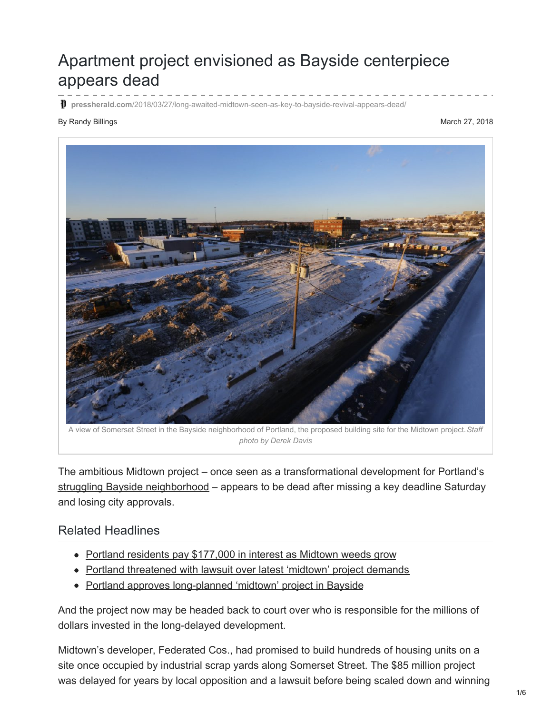## Apartment project envisioned as Bayside centerpiece appears dead

**pressherald.com**[/2018/03/27/long-awaited-midtown-seen-as-key-to-bayside-revival-appears-dead/](https://www.pressherald.com/2018/03/27/long-awaited-midtown-seen-as-key-to-bayside-revival-appears-dead/)

## By Randy Billings March 27, 2018



A view of Somerset Street in the Bayside neighborhood of Portland, the proposed building site for the Midtown project.*Staff photo by Derek Davis*

The ambitious Midtown project – once seen as a transformational development for Portland's struggling Bayside [neighborhood](https://www.pressherald.com/2013/12/09/bayside_poised_for_a_project/?rel=related) – appears to be dead after missing a key deadline Saturday and losing city approvals.

## Related Headlines

- Portland residents pay [\\$177,000](https://www.pressherald.com/2017/06/13/portland-residents-pay-177000-in-loan-interest-as-midtown-project-stalls/) in interest as Midtown weeds grow
- Portland [threatened](https://www.pressherald.com/2015/06/20/portland-threatened-with-lawsuit-over-latest-midtown-project-demands/) with lawsuit over latest 'midtown' project demands
- Portland approves [long-planned](https://www.pressherald.com/2015/03/03/portland-approves-long-planned-midtown-project-in-bayside/) 'midtown' project in Bayside

And the project now may be headed back to court over who is responsible for the millions of dollars invested in the long-delayed development.

Midtown's developer, Federated Cos., had promised to build hundreds of housing units on a site once occupied by industrial scrap yards along Somerset Street. The \$85 million project was delayed for years by local opposition and a lawsuit before being scaled down and winning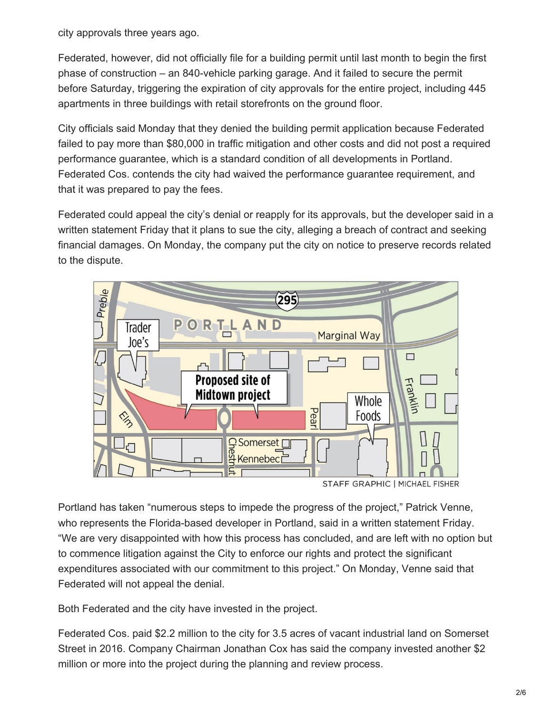city approvals three years ago.

Federated, however, did not officially file for a building permit until last month to begin the first phase of construction – an 840-vehicle parking garage. And it failed to secure the permit before Saturday, triggering the expiration of city approvals for the entire project, including 445 apartments in three buildings with retail storefronts on the ground floor.

City officials said Monday that they denied the building permit application because Federated failed to pay more than \$80,000 in traffic mitigation and other costs and did not post a required performance guarantee, which is a standard condition of all developments in Portland. Federated Cos. contends the city had waived the performance guarantee requirement, and that it was prepared to pay the fees.

Federated could appeal the city's denial or reapply for its approvals, but the developer said in a written statement Friday that it plans to sue the city, alleging a breach of contract and seeking financial damages. On Monday, the company put the city on notice to preserve records related to the dispute.



STAFF GRAPHIC | MICHAEL FISHER

Portland has taken "numerous steps to impede the progress of the project," Patrick Venne, who represents the Florida-based developer in Portland, said in a written statement Friday. "We are very disappointed with how this process has concluded, and are left with no option but to commence litigation against the City to enforce our rights and protect the significant expenditures associated with our commitment to this project." On Monday, Venne said that Federated will not appeal the denial.

Both Federated and the city have invested in the project.

Federated Cos. paid \$2.2 million to the city for 3.5 acres of vacant industrial land on Somerset Street in 2016. Company Chairman Jonathan Cox has said the company invested another \$2 million or more into the project during the planning and review process.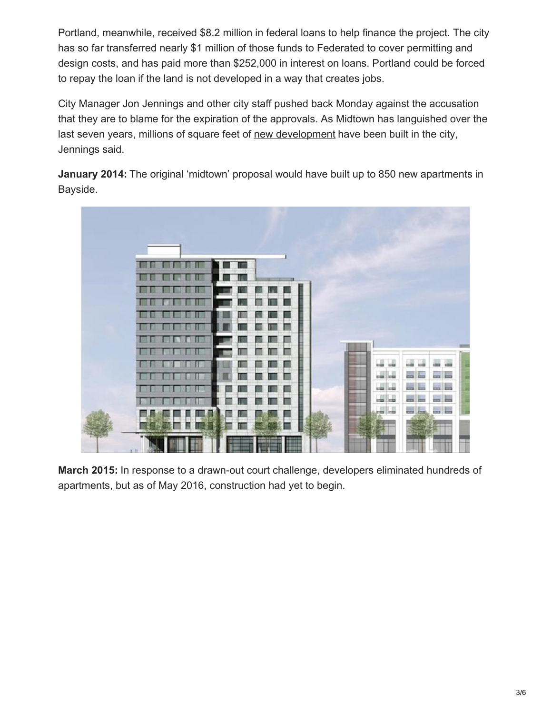Portland, meanwhile, received \$8.2 million in federal loans to help finance the project. The city has so far transferred nearly \$1 million of those funds to Federated to cover permitting and design costs, and has paid more than \$252,000 in interest on loans. Portland could be forced to repay the loan if the land is not developed in a way that creates jobs.

City Manager Jon Jennings and other city staff pushed back Monday against the accusation that they are to blame for the expiration of the approvals. As Midtown has languished over the last seven years, millions of square feet of new [development](https://www.pressherald.com/2017/07/13/interactive-see-portland-added-1000-new-homes-since-2010/?rel=related) have been built in the city, Jennings said.

**January 2014:** The original 'midtown' proposal would have built up to 850 new apartments in Bayside.



**March 2015:** In response to a drawn-out court challenge, developers eliminated hundreds of apartments, but as of May 2016, construction had yet to begin.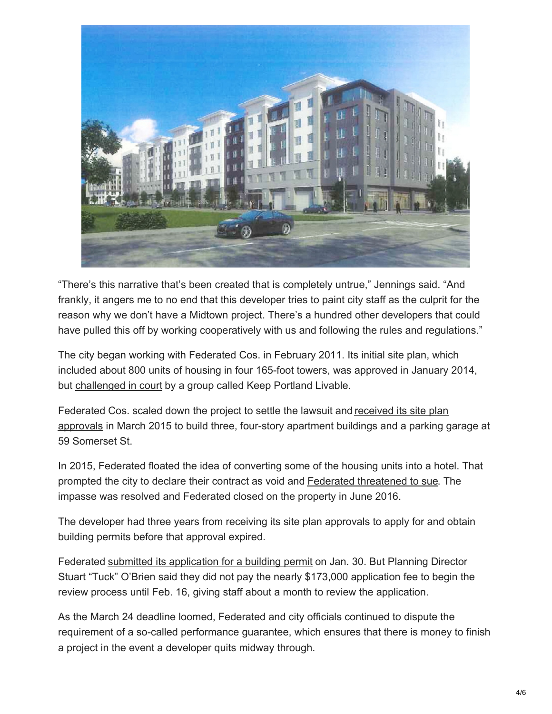

"There's this narrative that's been created that is completely untrue," Jennings said. "And frankly, it angers me to no end that this developer tries to paint city staff as the culprit for the reason why we don't have a Midtown project. There's a hundred other developers that could have pulled this off by working cooperatively with us and following the rules and regulations."

The city began working with Federated Cos. in February 2011. Its initial site plan, which included about 800 units of housing in four 165-foot towers, was approved in January 2014, but [challenged](https://www.pressherald.com/2014/02/13/portland_destroyed_records__says_group_fighting_high-rise/?rel=related) in court by a group called Keep Portland Livable.

[Federated](https://www.pressherald.com/2015/03/03/portland-approves-long-planned-midtown-project-in-bayside/?rel=related) Cos. scaled down the project to settle the lawsuit and received its site plan approvals in March 2015 to build three, four-story apartment buildings and a parking garage at 59 Somerset St.

In 2015, Federated floated the idea of converting some of the housing units into a hotel. That prompted the city to declare their contract as void and Federated [threatened](https://www.pressherald.com/2015/06/20/portland-threatened-with-lawsuit-over-latest-midtown-project-demands/) to sue. The impasse was resolved and Federated closed on the property in June 2016.

The developer had three years from receiving its site plan approvals to apply for and obtain building permits before that approval expired.

Federated submitted its [application](https://www.pressherald.com/2018/02/07/midtown-project-progresses-as-developer-files-permit/) for a building permit on Jan. 30. But Planning Director Stuart "Tuck" O'Brien said they did not pay the nearly \$173,000 application fee to begin the review process until Feb. 16, giving staff about a month to review the application.

As the March 24 deadline loomed, Federated and city officials continued to dispute the requirement of a so-called performance guarantee, which ensures that there is money to finish a project in the event a developer quits midway through.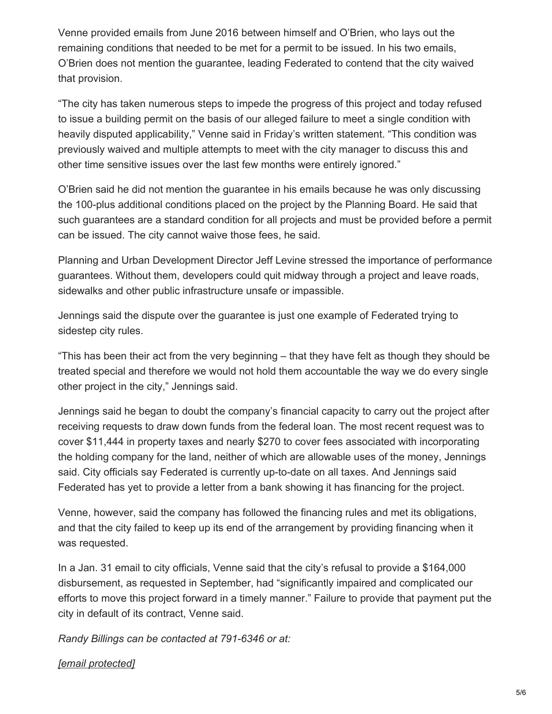Venne provided emails from June 2016 between himself and O'Brien, who lays out the remaining conditions that needed to be met for a permit to be issued. In his two emails, O'Brien does not mention the guarantee, leading Federated to contend that the city waived that provision.

"The city has taken numerous steps to impede the progress of this project and today refused to issue a building permit on the basis of our alleged failure to meet a single condition with heavily disputed applicability," Venne said in Friday's written statement. "This condition was previously waived and multiple attempts to meet with the city manager to discuss this and other time sensitive issues over the last few months were entirely ignored."

O'Brien said he did not mention the guarantee in his emails because he was only discussing the 100-plus additional conditions placed on the project by the Planning Board. He said that such guarantees are a standard condition for all projects and must be provided before a permit can be issued. The city cannot waive those fees, he said.

Planning and Urban Development Director Jeff Levine stressed the importance of performance guarantees. Without them, developers could quit midway through a project and leave roads, sidewalks and other public infrastructure unsafe or impassible.

Jennings said the dispute over the guarantee is just one example of Federated trying to sidestep city rules.

"This has been their act from the very beginning – that they have felt as though they should be treated special and therefore we would not hold them accountable the way we do every single other project in the city," Jennings said.

Jennings said he began to doubt the company's financial capacity to carry out the project after receiving requests to draw down funds from the federal loan. The most recent request was to cover \$11,444 in property taxes and nearly \$270 to cover fees associated with incorporating the holding company for the land, neither of which are allowable uses of the money, Jennings said. City officials say Federated is currently up-to-date on all taxes. And Jennings said Federated has yet to provide a letter from a bank showing it has financing for the project.

Venne, however, said the company has followed the financing rules and met its obligations, and that the city failed to keep up its end of the arrangement by providing financing when it was requested.

In a Jan. 31 email to city officials, Venne said that the city's refusal to provide a \$164,000 disbursement, as requested in September, had "significantly impaired and complicated our efforts to move this project forward in a timely manner." Failure to provide that payment put the city in default of its contract, Venne said.

*Randy Billings can be contacted at 791-6346 or at:*

## *[email [protected\]](https://www.pressherald.com/cdn-cgi/l/email-protection)*